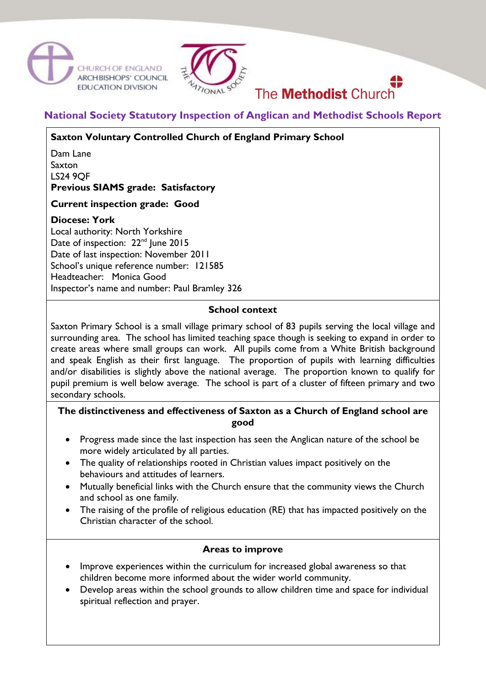



# The **Methodist** Church

## **National Society Statutory Inspection of Anglican and Methodist Schools Report**

## **Saxton Voluntary Controlled Church of England Primary School**

Dam Lane Saxton LS24 9QF **Previous SIAMS grade: Satisfactory**

## **Current inspection grade: Good**

#### **Diocese: York**

Local authority: North Yorkshire Date of inspection: 22<sup>nd</sup> June 2015 Date of last inspection: November 2011 School's unique reference number: 121585 Headteacher: Monica Good Inspector's name and number: Paul Bramley 326

## **School context**

Saxton Primary School is a small village primary school of 83 pupils serving the local village and surrounding area. The school has limited teaching space though is seeking to expand in order to create areas where small groups can work. All pupils come from a White British background and speak English as their first language. The proportion of pupils with learning difficulties and/or disabilities is slightly above the national average. The proportion known to qualify for pupil premium is well below average. The school is part of a cluster of fifteen primary and two secondary schools.

## **The distinctiveness and effectiveness of Saxton as a Church of England school are good**

- Progress made since the last inspection has seen the Anglican nature of the school be more widely articulated by all parties.
- The quality of relationships rooted in Christian values impact positively on the behaviours and attitudes of learners.
- Mutually beneficial links with the Church ensure that the community views the Church and school as one family.
- The raising of the profile of religious education (RE) that has impacted positively on the Christian character of the school.

#### **Areas to improve**

- Improve experiences within the curriculum for increased global awareness so that children become more informed about the wider world community.
- Develop areas within the school grounds to allow children time and space for individual spiritual reflection and prayer.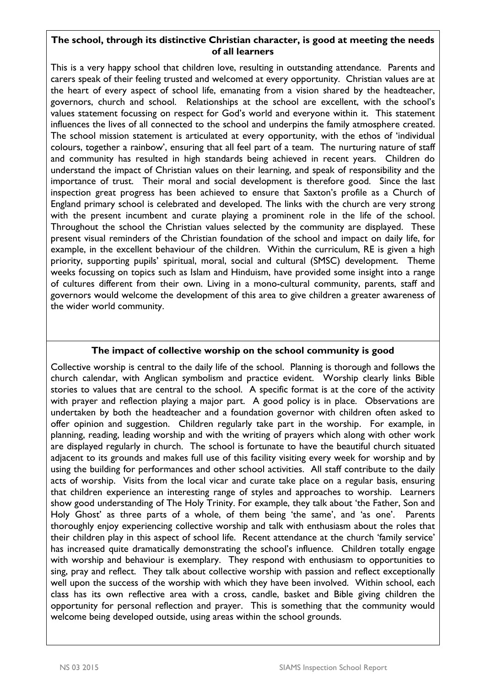#### **The school, through its distinctive Christian character, is good at meeting the needs of all learners**

This is a very happy school that children love, resulting in outstanding attendance. Parents and carers speak of their feeling trusted and welcomed at every opportunity. Christian values are at the heart of every aspect of school life, emanating from a vision shared by the headteacher, governors, church and school. Relationships at the school are excellent, with the school's values statement focussing on respect for God's world and everyone within it. This statement influences the lives of all connected to the school and underpins the family atmosphere created. The school mission statement is articulated at every opportunity, with the ethos of 'individual colours, together a rainbow', ensuring that all feel part of a team. The nurturing nature of staff and community has resulted in high standards being achieved in recent years. Children do understand the impact of Christian values on their learning, and speak of responsibility and the importance of trust. Their moral and social development is therefore good. Since the last inspection great progress has been achieved to ensure that Saxton's profile as a Church of England primary school is celebrated and developed. The links with the church are very strong with the present incumbent and curate playing a prominent role in the life of the school. Throughout the school the Christian values selected by the community are displayed. These present visual reminders of the Christian foundation of the school and impact on daily life, for example, in the excellent behaviour of the children. Within the curriculum, RE is given a high priority, supporting pupils' spiritual, moral, social and cultural (SMSC) development. Theme weeks focussing on topics such as Islam and Hinduism, have provided some insight into a range of cultures different from their own. Living in a mono-cultural community, parents, staff and governors would welcome the development of this area to give children a greater awareness of the wider world community.

## **The impact of collective worship on the school community is good**

Collective worship is central to the daily life of the school. Planning is thorough and follows the church calendar, with Anglican symbolism and practice evident. Worship clearly links Bible stories to values that are central to the school. A specific format is at the core of the activity with prayer and reflection playing a major part. A good policy is in place. Observations are undertaken by both the headteacher and a foundation governor with children often asked to offer opinion and suggestion. Children regularly take part in the worship. For example, in planning, reading, leading worship and with the writing of prayers which along with other work are displayed regularly in church. The school is fortunate to have the beautiful church situated adjacent to its grounds and makes full use of this facility visiting every week for worship and by using the building for performances and other school activities. All staff contribute to the daily acts of worship. Visits from the local vicar and curate take place on a regular basis, ensuring that children experience an interesting range of styles and approaches to worship. Learners show good understanding of The Holy Trinity. For example, they talk about 'the Father, Son and Holy Ghost' as three parts of a whole, of them being 'the same', and 'as one'. Parents thoroughly enjoy experiencing collective worship and talk with enthusiasm about the roles that their children play in this aspect of school life. Recent attendance at the church 'family service' has increased quite dramatically demonstrating the school's influence. Children totally engage with worship and behaviour is exemplary. They respond with enthusiasm to opportunities to sing, pray and reflect. They talk about collective worship with passion and reflect exceptionally well upon the success of the worship with which they have been involved. Within school, each class has its own reflective area with a cross, candle, basket and Bible giving children the opportunity for personal reflection and prayer. This is something that the community would welcome being developed outside, using areas within the school grounds.